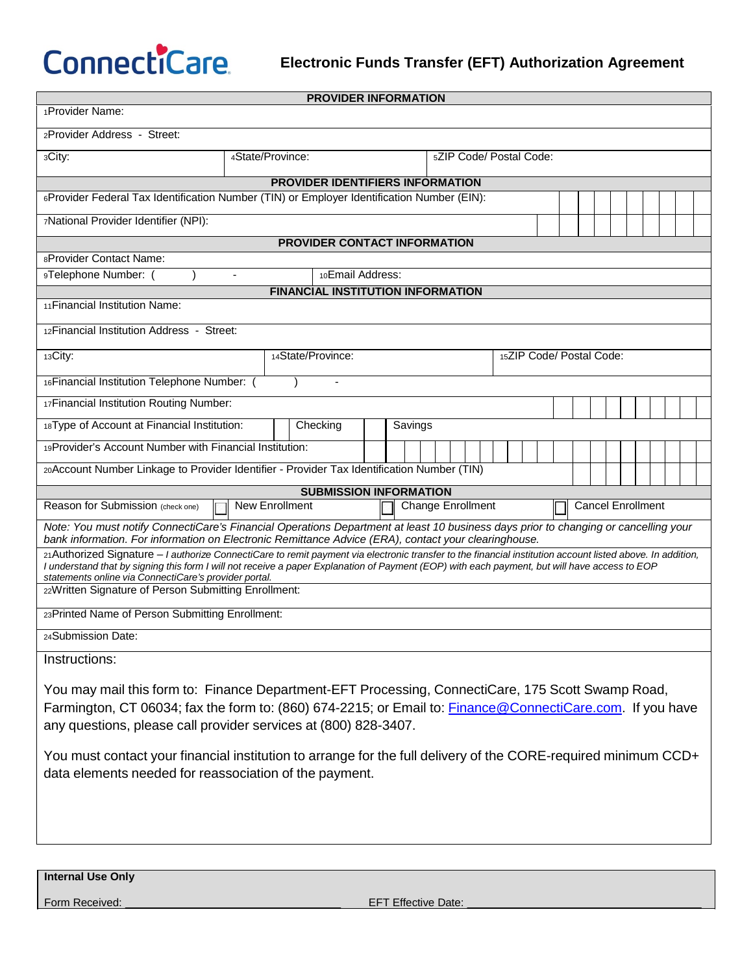**CONNECTICATE** Electronic Funds Transfer (EFT) Authorization Agreement

|                                                                                                                                                                                                                                                                                                              |                  |                |  | <b>PROVIDER INFORMATION</b> |  |  |  |                          |  |  |  |  |  |  |                          |  |  |  |  |  |
|--------------------------------------------------------------------------------------------------------------------------------------------------------------------------------------------------------------------------------------------------------------------------------------------------------------|------------------|----------------|--|-----------------------------|--|--|--|--------------------------|--|--|--|--|--|--|--------------------------|--|--|--|--|--|
| 1Provider Name:                                                                                                                                                                                                                                                                                              |                  |                |  |                             |  |  |  |                          |  |  |  |  |  |  |                          |  |  |  |  |  |
| 2Provider Address - Street:                                                                                                                                                                                                                                                                                  |                  |                |  |                             |  |  |  |                          |  |  |  |  |  |  |                          |  |  |  |  |  |
| 3City:                                                                                                                                                                                                                                                                                                       | 4State/Province: |                |  |                             |  |  |  | 5ZIP Code/ Postal Code:  |  |  |  |  |  |  |                          |  |  |  |  |  |
| PROVIDER IDENTIFIERS INFORMATION                                                                                                                                                                                                                                                                             |                  |                |  |                             |  |  |  |                          |  |  |  |  |  |  |                          |  |  |  |  |  |
| 6Provider Federal Tax Identification Number (TIN) or Employer Identification Number (EIN):                                                                                                                                                                                                                   |                  |                |  |                             |  |  |  |                          |  |  |  |  |  |  |                          |  |  |  |  |  |
| 7National Provider Identifier (NPI):                                                                                                                                                                                                                                                                         |                  |                |  |                             |  |  |  |                          |  |  |  |  |  |  |                          |  |  |  |  |  |
| <b>PROVIDER CONTACT INFORMATION</b>                                                                                                                                                                                                                                                                          |                  |                |  |                             |  |  |  |                          |  |  |  |  |  |  |                          |  |  |  |  |  |
| 8Provider Contact Name:                                                                                                                                                                                                                                                                                      |                  |                |  |                             |  |  |  |                          |  |  |  |  |  |  |                          |  |  |  |  |  |
| 10Email Address:<br>9Telephone Number: (                                                                                                                                                                                                                                                                     |                  |                |  |                             |  |  |  |                          |  |  |  |  |  |  |                          |  |  |  |  |  |
| <b>FINANCIAL INSTITUTION INFORMATION</b>                                                                                                                                                                                                                                                                     |                  |                |  |                             |  |  |  |                          |  |  |  |  |  |  |                          |  |  |  |  |  |
| 11 Financial Institution Name:                                                                                                                                                                                                                                                                               |                  |                |  |                             |  |  |  |                          |  |  |  |  |  |  |                          |  |  |  |  |  |
| 12 Financial Institution Address - Street:                                                                                                                                                                                                                                                                   |                  |                |  |                             |  |  |  |                          |  |  |  |  |  |  |                          |  |  |  |  |  |
| 13City:<br>14State/Province:                                                                                                                                                                                                                                                                                 |                  |                |  |                             |  |  |  | 15ZIP Code/ Postal Code: |  |  |  |  |  |  |                          |  |  |  |  |  |
| 16 Financial Institution Telephone Number: (<br>$\overline{\phantom{a}}$                                                                                                                                                                                                                                     |                  |                |  |                             |  |  |  |                          |  |  |  |  |  |  |                          |  |  |  |  |  |
| 17 Financial Institution Routing Number:                                                                                                                                                                                                                                                                     |                  |                |  |                             |  |  |  |                          |  |  |  |  |  |  |                          |  |  |  |  |  |
| 18Type of Account at Financial Institution:<br>Checking<br>Savings                                                                                                                                                                                                                                           |                  |                |  |                             |  |  |  |                          |  |  |  |  |  |  |                          |  |  |  |  |  |
| 19 Provider's Account Number with Financial Institution:                                                                                                                                                                                                                                                     |                  |                |  |                             |  |  |  |                          |  |  |  |  |  |  |                          |  |  |  |  |  |
| 20Account Number Linkage to Provider Identifier - Provider Tax Identification Number (TIN)                                                                                                                                                                                                                   |                  |                |  |                             |  |  |  |                          |  |  |  |  |  |  |                          |  |  |  |  |  |
| <b>SUBMISSION INFORMATION</b>                                                                                                                                                                                                                                                                                |                  |                |  |                             |  |  |  |                          |  |  |  |  |  |  |                          |  |  |  |  |  |
| Reason for Submission (check one)                                                                                                                                                                                                                                                                            |                  | New Enrollment |  |                             |  |  |  | Change Enrollment        |  |  |  |  |  |  | <b>Cancel Enrollment</b> |  |  |  |  |  |
| Note: You must notify ConnectiCare's Financial Operations Department at least 10 business days prior to changing or cancelling your<br>bank information. For information on Electronic Remittance Advice (ERA), contact your clearinghouse.                                                                  |                  |                |  |                             |  |  |  |                          |  |  |  |  |  |  |                          |  |  |  |  |  |
| 21 Authorized Signature - I authorize ConnectiCare to remit payment via electronic transfer to the financial institution account listed above. In addition,<br>I understand that by signing this form I will not receive a paper Explanation of Payment (EOP) with each payment, but will have access to EOP |                  |                |  |                             |  |  |  |                          |  |  |  |  |  |  |                          |  |  |  |  |  |
| statements online via ConnectiCare's provider portal.<br>22Written Signature of Person Submitting Enrollment:                                                                                                                                                                                                |                  |                |  |                             |  |  |  |                          |  |  |  |  |  |  |                          |  |  |  |  |  |
| 23Printed Name of Person Submitting Enrollment:                                                                                                                                                                                                                                                              |                  |                |  |                             |  |  |  |                          |  |  |  |  |  |  |                          |  |  |  |  |  |
| 24Submission Date:                                                                                                                                                                                                                                                                                           |                  |                |  |                             |  |  |  |                          |  |  |  |  |  |  |                          |  |  |  |  |  |
|                                                                                                                                                                                                                                                                                                              |                  |                |  |                             |  |  |  |                          |  |  |  |  |  |  |                          |  |  |  |  |  |
| Instructions:                                                                                                                                                                                                                                                                                                |                  |                |  |                             |  |  |  |                          |  |  |  |  |  |  |                          |  |  |  |  |  |
| You may mail this form to: Finance Department-EFT Processing, ConnectiCare, 175 Scott Swamp Road,                                                                                                                                                                                                            |                  |                |  |                             |  |  |  |                          |  |  |  |  |  |  |                          |  |  |  |  |  |
| Farmington, CT 06034; fax the form to: (860) 674-2215; or Email to: Finance @ConnectiCare.com. If you have                                                                                                                                                                                                   |                  |                |  |                             |  |  |  |                          |  |  |  |  |  |  |                          |  |  |  |  |  |
| any questions, please call provider services at (800) 828-3407.                                                                                                                                                                                                                                              |                  |                |  |                             |  |  |  |                          |  |  |  |  |  |  |                          |  |  |  |  |  |
| You must contact your financial institution to arrange for the full delivery of the CORE-required minimum CCD+                                                                                                                                                                                               |                  |                |  |                             |  |  |  |                          |  |  |  |  |  |  |                          |  |  |  |  |  |
| data elements needed for reassociation of the payment.                                                                                                                                                                                                                                                       |                  |                |  |                             |  |  |  |                          |  |  |  |  |  |  |                          |  |  |  |  |  |
|                                                                                                                                                                                                                                                                                                              |                  |                |  |                             |  |  |  |                          |  |  |  |  |  |  |                          |  |  |  |  |  |
|                                                                                                                                                                                                                                                                                                              |                  |                |  |                             |  |  |  |                          |  |  |  |  |  |  |                          |  |  |  |  |  |
|                                                                                                                                                                                                                                                                                                              |                  |                |  |                             |  |  |  |                          |  |  |  |  |  |  |                          |  |  |  |  |  |
|                                                                                                                                                                                                                                                                                                              |                  |                |  |                             |  |  |  |                          |  |  |  |  |  |  |                          |  |  |  |  |  |

**Internal Use Only**